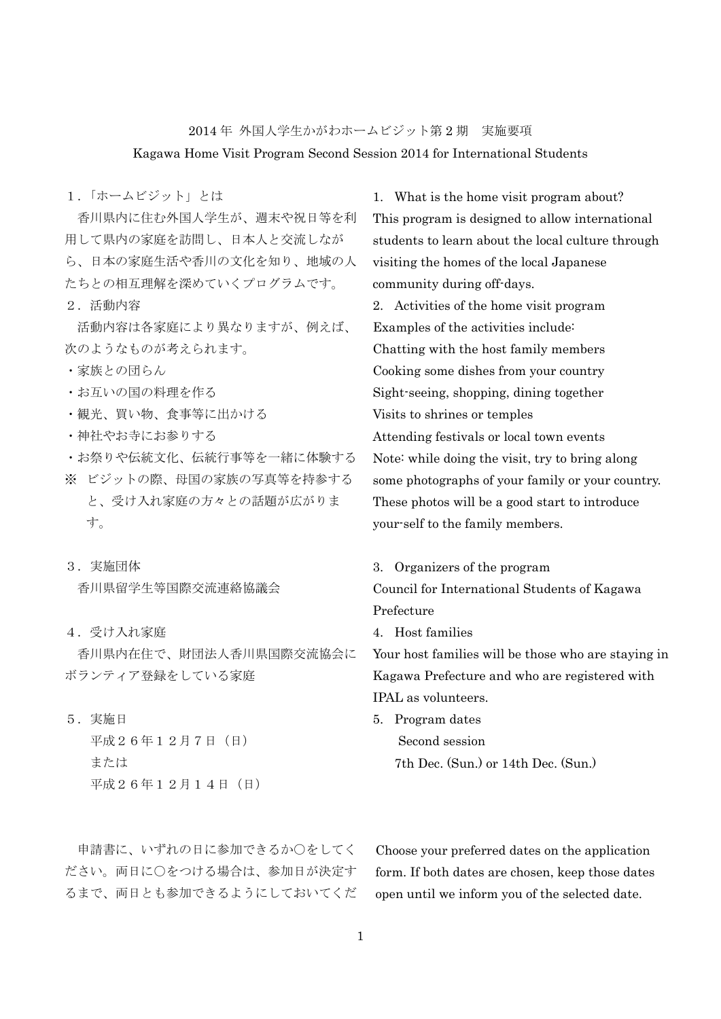2014 年 外国人学生かがわホームビジット第 2 期 実施要項 Kagawa Home Visit Program Second Session 2014 for International Students

1.「ホームビジット」とは

 香川県内に住む外国人学生が、週末や祝日等を利 用して県内の家庭を訪問し、日本人と交流しなが ら、日本の家庭生活や香川の文化を知り、地域の人 たちとの相互理解を深めていくプログラムです。

2.活動内容

 活動内容は各家庭により異なりますが、例えば、 次のようなものが考えられます。

- ・家族との団らん
- ・お互いの国の料理を作る
- ・観光、買い物、食事等に出かける
- ・神社やお寺にお参りする
- ・お祭りや伝統文化、伝統行事等を一緒に体験する
- ※ ビジットの際、母国の家族の写真等を持参する と、受け入れ家庭の方々との話題が広がりま す。
- 3.実施団体

香川県留学生等国際交流連絡協議会

4.受け入れ家庭

 香川県内在住で、財団法人香川県国際交流協会に ボランティア登録をしている家庭

5.実施日

平成26年12月7日(日) または 平成26年12月14日(日) 1. What is the home visit program about? This program is designed to allow international students to learn about the local culture through visiting the homes of the local Japanese community during off-days.

2. Activities of the home visit program Examples of the activities include: Chatting with the host family members Cooking some dishes from your country Sight-seeing, shopping, dining together Visits to shrines or temples Attending festivals or local town events Note: while doing the visit, try to bring along some photographs of your family or your country. These photos will be a good start to introduce your-self to the family members.

# 3. Organizers of the program

Council for International Students of Kagawa Prefecture

4. Host families

Your host families will be those who are staying in Kagawa Prefecture and who are registered with IPAL as volunteers.

5. Program dates Second session 7th Dec. (Sun.) or 14th Dec. (Sun.)

申請書に、いずれの日に参加できるか○をしてく ださい。両日に○をつける場合は、参加日が決定す るまで、両日とも参加できるようにしておいてくだ Choose your preferred dates on the application form. If both dates are chosen, keep those dates open until we inform you of the selected date.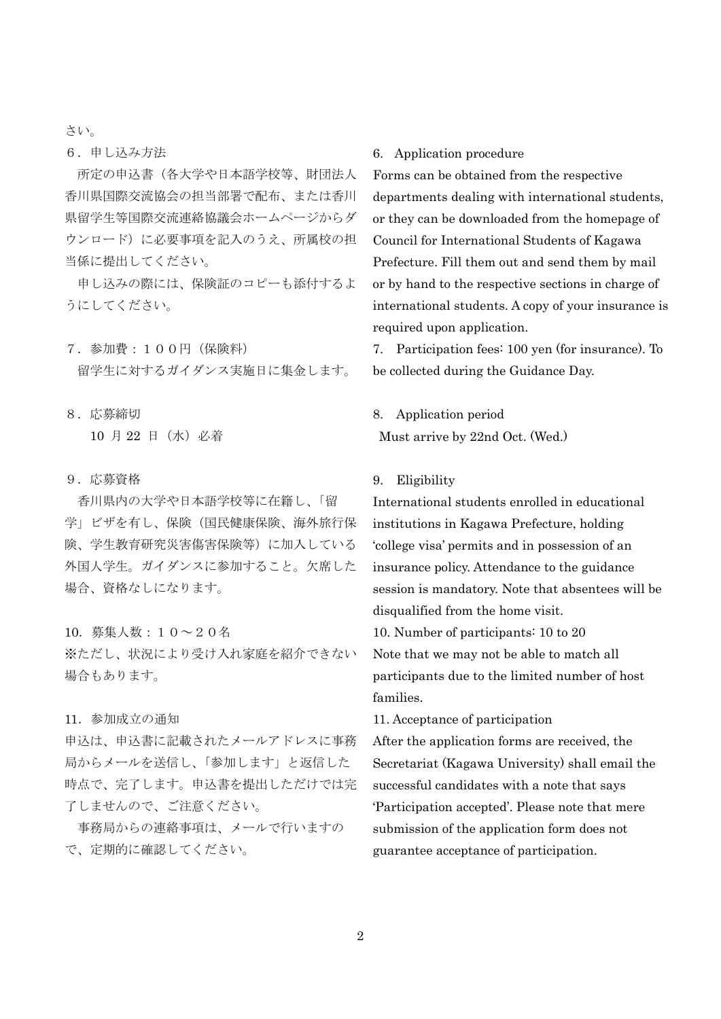さい。

6.申し込み方法

所定の申込書(各大学や日本語学校等、財団法人 香川県国際交流協会の担当部署で配布、または香川 県留学生等国際交流連絡協議会ホームページからダ ウンロード)に必要事項を記入のうえ、所属校の担 当係に提出してください。

申し込みの際には、保険証のコピーも添付するよ うにしてください。

- 7.参加費:100円(保険料) 留学生に対するガイダンス実施日に集金します。
- 8.応募締切 10 月 22 日(水)必着
- 9.応募資格

 香川県内の大学や日本語学校等に在籍し、「留 学」ビザを有し、保険(国民健康保険、海外旅行保 険、学生教育研究災害傷害保険等)に加入している 外国人学生。ガイダンスに参加すること。欠席した 場合、資格なしになります。

### 10.募集人数:10~20名

※ただし、状況により受け入れ家庭を紹介できない 場合もあります。

#### 11.参加成立の通知

申込は、申込書に記載されたメールアドレスに事務 局からメールを送信し、「参加します」と返信した 時点で、完了します。申込書を提出しただけでは完 了しませんので、ご注意ください。

 事務局からの連絡事項は、メールで行いますの で、定期的に確認してください。

# 6. Application procedure

Forms can be obtained from the respective departments dealing with international students, or they can be downloaded from the homepage of Council for International Students of Kagawa Prefecture. Fill them out and send them by mail or by hand to the respective sections in charge of international students. A copy of your insurance is required upon application.

7. Participation fees: 100 yen (for insurance). To be collected during the Guidance Day.

## 8. Application period

Must arrive by 22nd Oct. (Wed.)

### 9. Eligibility

International students enrolled in educational institutions in Kagawa Prefecture, holding 'college visa' permits and in possession of an insurance policy. Attendance to the guidance session is mandatory. Note that absentees will be disqualified from the home visit.

10. Number of participants: 10 to 20 Note that we may not be able to match all participants due to the limited number of host families.

11. Acceptance of participation

After the application forms are received, the Secretariat (Kagawa University) shall email the successful candidates with a note that says 'Participation accepted'. Please note that mere submission of the application form does not guarantee acceptance of participation.